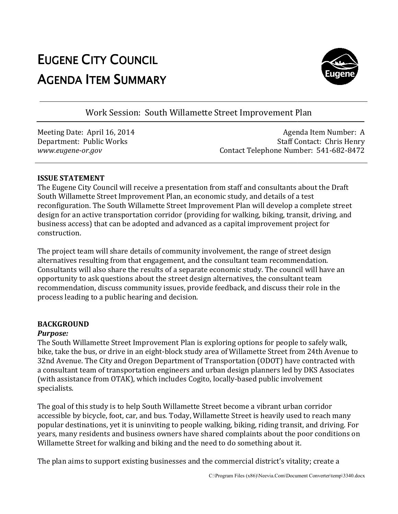# EUGENE CITY COUNCIL AGENDA ITEM SUMMARY



Work Session: South Willamette Street Improvement Plan

Meeting Date: April 16, 2014 Department: Public Works *www.eugene-or.gov*

Agenda Item Number: A Staff Contact: Chris Henry Contact Telephone Number: 541-682-8472

## **ISSUE STATEMENT**

The Eugene City Council will receive a presentation from staff and consultants about the Draft South Willamette Street Improvement Plan, an economic study, and details of a test reconfiguration. The South Willamette Street Improvement Plan will develop a complete street design for an active transportation corridor (providing for walking, biking, transit, business access) that can be adopted and advanced as a capit construction. South Willamette Street Improvement Plan will develop a complete<br>ansportation corridor (providing for walking, biking, transit, drivin<br>can be adopted and advanced as a capital improvement project for driving, and

The project team will share details of community involvement, the range of street design alternatives resulting from that engagement, and the consultant team recommendation Consultants will also share the results of a separate economic study. The council will have an opportunity to ask questions about the street design alternatives, the consultant team recommendation, discuss community issues, provide feedback, and discuss their role in the recommendation, discuss community issues, pro<br>process leading to a public hearing and decision. ed as a capital improvement project for<br>involvement, the range of street design<br>the consultant team recommendation.

#### **BACKGROUND**

#### *Purpose:*

The South Willamette Street Improvement Plan is exploring options for people to safely walk, The South Willamette Street Improvement Plan is exploring options for people to safely walk,<br>bike, take the bus, or drive in an eight-block study area of Willamette Street from 24th Avenue to 32nd Avenue. The City and Oregon Department of Transportation (ODOT) have contracted with a consultant team of transportation engineers and urban design planners led by DKS Associates a consultant team of transportation engineers and urban design planners led by DKS A<br>(with assistance from OTAK), which includes Cogito, locally-based public involvement specialists. of a separate economic study. The council will have an<br>e street design alternatives, the consultant team<br>issues, provide feedback, and discuss their role in the<br>d decision.<br>nent Plan is exploring options for people to safe

The goal of this study is to help South Willamette Street become a vibrant urban corridor accessible by bicycle, foot, car, and bus. Today, Willamette Street is heavily used to reach many The goal of this study is to help South Willamette Street become a vibrant urban corridor<br>accessible by bicycle, foot, car, and bus. Today, Willamette Street is heavily used to reach many<br>popular destinations, yet it is un years, many residents and business owners have shared complaints about the poor conditions on Willamette Street for walking and biking and the need to do something about it. ears, many residents and business owners have shared complaints about the po<br>Villamette Street for walking and biking and the need to do something about it.<br>'he plan aims to support existing businesses and the commercial d

The plan aims to support existing businesses and the commercial district's vitality; create a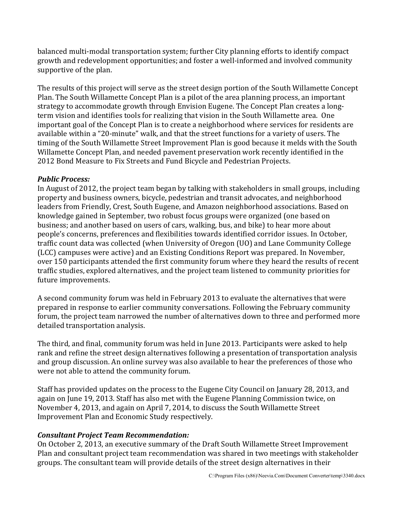balanced multi-modal transportation system; further City planning efforts to identify compact growth and redevelopment opportunities; and foster a well-informed and involved community supportive of the plan.

The results of this project will serve as the street design portion of the South Willamette Concept Plan. The South Willamette Concept Plan is a pilot of the area planning process, an important strategy to accommodate growth through Envision Eugene. The Concept Plan creates a longterm vision and identifies tools for realizing that vision in the South Willamette area. One important goal of the Concept Plan is to create a neighborhood where services for residents are available within a "20-minute" walk, and that the street functions for a variety of users. The timing of the South Willamette Street Improvement Plan is good because it melds with the South Willamette Concept Plan, and needed pavement preservation work recently identified in the 2012 Bond Measure to Fix Streets and Fund Bicycle and Pedestrian Projects.

# *Public Process:*

In August of 2012, the project team began by talking with stakeholders in small groups, including property and business owners, bicycle, pedestrian and transit advocates, and neighborhood leaders from Friendly, Crest, South Eugene, and Amazon neighborhood associations. Based on knowledge gained in September, two robust focus groups were organized (one based on business; and another based on users of cars, walking, bus, and bike) to hear more about people's concerns, preferences and flexibilities towards identified corridor issues. In October, traffic count data was collected (when University of Oregon (UO) and Lane Community College (LCC) campuses were active) and an Existing Conditions Report was prepared. In November, over 150 participants attended the first community forum where they heard the results of recent traffic studies, explored alternatives, and the project team listened to community priorities for future improvements.

A second community forum was held in February 2013 to evaluate the alternatives that were prepared in response to earlier community conversations. Following the February community forum, the project team narrowed the number of alternatives down to three and performed more detailed transportation analysis.

The third, and final, community forum was held in June 2013. Participants were asked to help rank and refine the street design alternatives following a presentation of transportation analysis and group discussion. An online survey was also available to hear the preferences of those who were not able to attend the community forum.

Staff has provided updates on the process to the Eugene City Council on January 28, 2013, and again on June 19, 2013. Staff has also met with the Eugene Planning Commission twice, on November 4, 2013, and again on April 7, 2014, to discuss the South Willamette Street Improvement Plan and Economic Study respectively.

# *Consultant Project Team Recommendation:*

On October 2, 2013, an executive summary of the Draft South Willamette Street Improvement Plan and consultant project team recommendation was shared in two meetings with stakeholder groups. The consultant team will provide details of the street design alternatives in their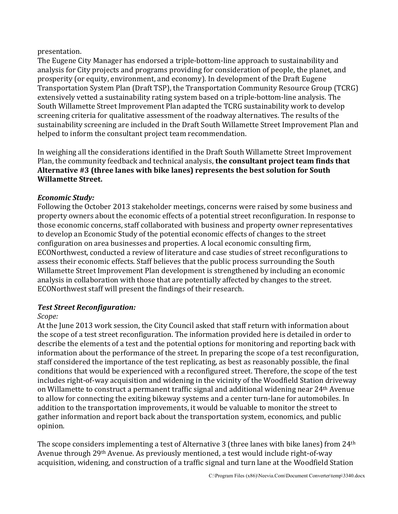#### presentation.

The Eugene City Manager has endorsed a triple-bottom-line approach to sustainability and analysis for City projects and programs providing for consideration of people, the planet, and prosperity (or equity, environment, and economy). In development of the Draft Eugene Transportation System Plan (Draft TSP), the Transportation Community Resource Group (TCRG) extensively vetted a sustainability rating system based on a triple-bottom-line analysis. The South Willamette Street Improvement Plan adapted the TCRG sustainability work to develop screening criteria for qualitative assessment of the roadway alternatives. The results of the sustainability screening are included in the Draft South Willamette Street Improvement Plan and helped to inform the consultant project team recommendation.

In weighing all the considerations identified in the Draft South Willamette Street Improvement Plan, the community feedback and technical analysis, **the consultant project team finds that Alternative #3 (three lanes with bike lanes) represents the best solution for South Willamette Street.**

# *Economic Study:*

Following the October 2013 stakeholder meetings, concerns were raised by some business and property owners about the economic effects of a potential street reconfiguration. In response to those economic concerns, staff collaborated with business and property owner representatives to develop an Economic Study of the potential economic effects of changes to the street configuration on area businesses and properties. A local economic consulting firm, ECONorthwest, conducted a review of literature and case studies of street reconfigurations to assess their economic effects. Staff believes that the public process surrounding the South Willamette Street Improvement Plan development is strengthened by including an economic analysis in collaboration with those that are potentially affected by changes to the street. ECONorthwest staff will present the findings of their research.

# *Test Street Reconfiguration:*

# *Scope:*

At the June 2013 work session, the City Council asked that staff return with information about the scope of a test street reconfiguration. The information provided here is detailed in order to describe the elements of a test and the potential options for monitoring and reporting back with information about the performance of the street. In preparing the scope of a test reconfiguration, staff considered the importance of the test replicating, as best as reasonably possible, the final conditions that would be experienced with a reconfigured street. Therefore, the scope of the test includes right-of-way acquisition and widening in the vicinity of the Woodfield Station driveway on Willamette to construct a permanent traffic signal and additional widening near 24th Avenue to allow for connecting the exiting bikeway systems and a center turn-lane for automobiles. In addition to the transportation improvements, it would be valuable to monitor the street to gather information and report back about the transportation system, economics, and public opinion.

The scope considers implementing a test of Alternative 3 (three lanes with bike lanes) from 24th Avenue through 29th Avenue. As previously mentioned, a test would include right-of-way acquisition, widening, and construction of a traffic signal and turn lane at the Woodfield Station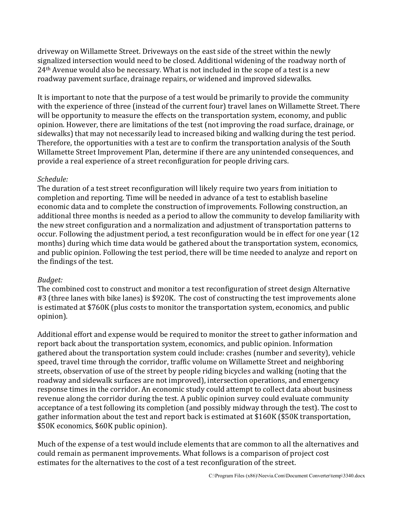driveway on Willamette Street. Driveways on the east side of the street within the newly signalized intersection would need to be closed. Additional widening of the roadway north of 24th Avenue would also be necessary. What is not included in the scope of a test is a new roadway pavement surface, drainage repairs, or widened and improved sidewalks.

It is important to note that the purpose of a test would be primarily to provide the community with the experience of three (instead of the current four) travel lanes on Willamette Street. There will be opportunity to measure the effects on the transportation system, economy, and public opinion. However, there are limitations of the test (not improving the road surface, drainage, or sidewalks) that may not necessarily lead to increased biking and walking during the test period. Therefore, the opportunities with a test are to confirm the transportation analysis of the South Willamette Street Improvement Plan, determine if there are any unintended consequences, and provide a real experience of a street reconfiguration for people driving cars.

## *Schedule:*

The duration of a test street reconfiguration will likely require two years from initiation to completion and reporting. Time will be needed in advance of a test to establish baseline economic data and to complete the construction of improvements. Following construction, an additional three months is needed as a period to allow the community to develop familiarity with the new street configuration and a normalization and adjustment of transportation patterns to occur. Following the adjustment period, a test reconfiguration would be in effect for one year (12 months) during which time data would be gathered about the transportation system, economics, and public opinion. Following the test period, there will be time needed to analyze and report on the findings of the test.

# *Budget:*

The combined cost to construct and monitor a test reconfiguration of street design Alternative #3 (three lanes with bike lanes) is \$920K. The cost of constructing the test improvements alone is estimated at \$760K (plus costs to monitor the transportation system, economics, and public opinion).

Additional effort and expense would be required to monitor the street to gather information and report back about the transportation system, economics, and public opinion. Information gathered about the transportation system could include: crashes (number and severity), vehicle speed, travel time through the corridor, traffic volume on Willamette Street and neighboring streets, observation of use of the street by people riding bicycles and walking (noting that the roadway and sidewalk surfaces are not improved), intersection operations, and emergency response times in the corridor. An economic study could attempt to collect data about business revenue along the corridor during the test. A public opinion survey could evaluate community acceptance of a test following its completion (and possibly midway through the test). The cost to gather information about the test and report back is estimated at \$160K (\$50K transportation, \$50K economics, \$60K public opinion).

Much of the expense of a test would include elements that are common to all the alternatives and could remain as permanent improvements. What follows is a comparison of project cost estimates for the alternatives to the cost of a test reconfiguration of the street.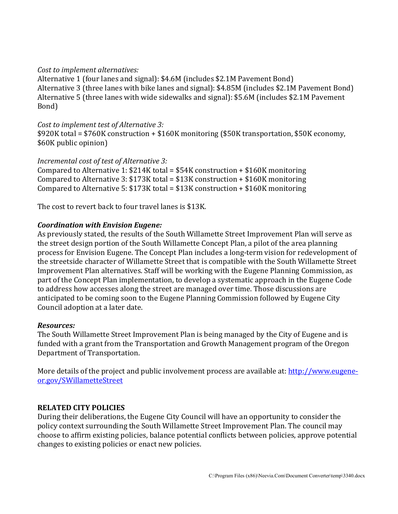#### *Cost to implement alternatives:*

Alternative 1 (four lanes and signal): \$4.6M (includes \$2.1M Pavement Bond) Alternative 3 (three lanes with bike lanes and signal): \$4.85M (includes \$2.1M Pavement Bond) Alternative 5 (three lanes with wide sidewalks and signal): \$5.6M (includes \$2.1M Pavement Bond)

#### *Cost to implement test of Alternative 3:*

\$920K total = \$760K construction + \$160K monitoring (\$50K transportation, \$50K economy, \$60K public opinion)

#### *Incremental cost of test of Alternative 3:*

Compared to Alternative 1: \$214K total = \$54K construction + \$160K monitoring Compared to Alternative 3: \$173K total = \$13K construction + \$160K monitoring Compared to Alternative 5: \$173K total = \$13K construction + \$160K monitoring

The cost to revert back to four travel lanes is \$13K.

#### *Coordination with Envision Eugene:*

As previously stated, the results of the South Willamette Street Improvement Plan will serve as the street design portion of the South Willamette Concept Plan, a pilot of the area planning process for Envision Eugene. The Concept Plan includes a long-term vision for redevelopment of the streetside character of Willamette Street that is compatible with the South Willamette Street Improvement Plan alternatives. Staff will be working with the Eugene Planning Commission, as part of the Concept Plan implementation, to develop a systematic approach in the Eugene Code to address how accesses along the street are managed over time. Those discussions are anticipated to be coming soon to the Eugene Planning Commission followed by Eugene City Council adoption at a later date.

#### *Resources:*

The South Willamette Street Improvement Plan is being managed by the City of Eugene and is funded with a grant from the Transportation and Growth Management program of the Oregon Department of Transportation.

More details of the project and public involvement process are available at: [http://www.eugene](http://www.eugene-or.gov/SWillametteStreet)[or.gov/SWillametteStreet](http://www.eugene-or.gov/SWillametteStreet)

#### **RELATED CITY POLICIES**

During their deliberations, the Eugene City Council will have an opportunity to consider the policy context surrounding the South Willamette Street Improvement Plan. The council may choose to affirm existing policies, balance potential conflicts between policies, approve potential changes to existing policies or enact new policies.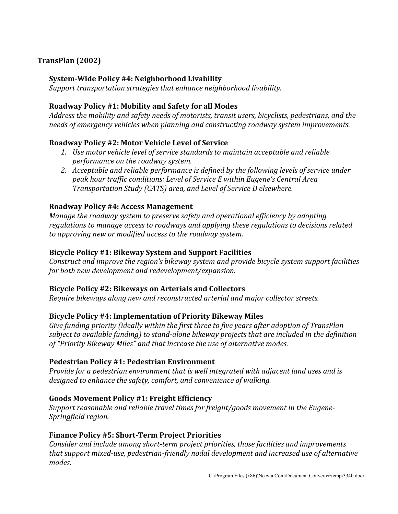# **TransPlan (2002)**

#### **System-Wide Policy #4: Neighborhood Livability**

 *Support transportation strategies that enhance neighborhood livability.* 

#### **Roadway Policy #1: Mobility and Safety for all Modes**

*Address the mobility and safety needs of motorists, transit users, bicyclists, pedestrians, and the needs of emergency vehicles when planning and constructing roadway system improvements.* 

## **Roadway Policy #2: Motor Vehicle Level of Service**

- *1. Use motor vehicle level of service standards to maintain acceptable and reliable performance on the roadway system.*
- *2. Acceptable and reliable performance is defined by the following levels of service under peak hour traffic conditions: Level of Service E within Eugene's Central Area Transportation Study (CATS) area, and Level of Service D elsewhere.*

## **Roadway Policy #4: Access Management**

*Manage the roadway system to preserve safety and operational efficiency by adopting regulations to manage access to roadways and applying these regulations to decisions related to approving new or modified access to the roadway system.* 

## **Bicycle Policy #1: Bikeway System and Support Facilities**

*Construct and improve the region's bikeway system and provide bicycle system support facilities for both new development and redevelopment/expansion.* 

#### **Bicycle Policy #2: Bikeways on Arterials and Collectors**

*Require bikeways along new and reconstructed arterial and major collector streets.* 

#### **Bicycle Policy #4: Implementation of Priority Bikeway Miles**

*Give funding priority (ideally within the first three to five years after adoption of TransPlan subject to available funding) to stand-alone bikeway projects that are included in the definition of "Priority Bikeway Miles" and that increase the use of alternative modes.* 

#### **Pedestrian Policy #1: Pedestrian Environment**

*Provide for a pedestrian environment that is well integrated with adjacent land uses and is designed to enhance the safety, comfort, and convenience of walking.* 

# **Goods Movement Policy #1: Freight Efficiency**

*Support reasonable and reliable travel times for freight/goods movement in the Eugene-Springfield region.* 

# **Finance Policy #5: Short-Term Project Priorities**

*Consider and include among short-term project priorities, those facilities and improvements that support mixed-use, pedestrian-friendly nodal development and increased use of alternative modes.*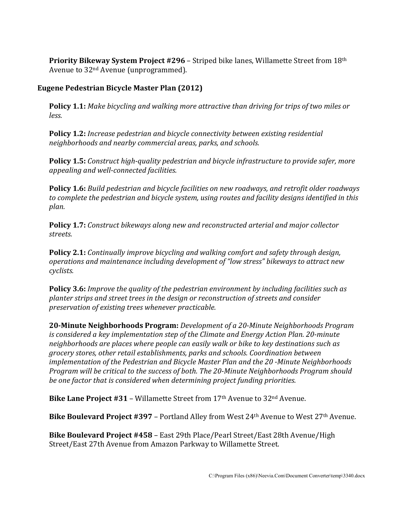**Priority Bikeway System Project #296** – Striped bike lanes, Willamette Street from 18th Avenue to 32nd Avenue (unprogrammed).

# **Eugene Pedestrian Bicycle Master Plan (2012)**

**Policy 1.1:** *Make bicycling and walking more attractive than driving for trips of two miles or less.* 

**Policy 1.2:** *Increase pedestrian and bicycle connectivity between existing residential neighborhoods and nearby commercial areas, parks, and schools.* 

**Policy 1.5:** *Construct high-quality pedestrian and bicycle infrastructure to provide safer, more appealing and well-connected facilities.* 

**Policy 1.6:** *Build pedestrian and bicycle facilities on new roadways, and retrofit older roadways to complete the pedestrian and bicycle system, using routes and facility designs identified in this plan.* 

**Policy 1.7:** *Construct bikeways along new and reconstructed arterial and major collector streets.* 

**Policy 2.1:** *Continually improve bicycling and walking comfort and safety through design, operations and maintenance including development of "low stress" bikeways to attract new cyclists.* 

**Policy 3.6:** *Improve the quality of the pedestrian environment by including facilities such as planter strips and street trees in the design or reconstruction of streets and consider preservation of existing trees whenever practicable.*

**20-Minute Neighborhoods Program:** *Development of a 20-Minute Neighborhoods Program is considered a key implementation step of the Climate and Energy Action Plan. 20-minute neighborhoods are places where people can easily walk or bike to key destinations such as grocery stores, other retail establishments, parks and schools. Coordination between implementation of the Pedestrian and Bicycle Master Plan and the 20 -Minute Neighborhoods Program will be critical to the success of both. The 20-Minute Neighborhoods Program should be one factor that is considered when determining project funding priorities.* 

**Bike Lane Project #31** – Willamette Street from 17th Avenue to 32nd Avenue.

**Bike Boulevard Project #397** – Portland Alley from West 24th Avenue to West 27th Avenue.

**Bike Boulevard Project #458** – East 29th Place/Pearl Street/East 28th Avenue/High Street/East 27th Avenue from Amazon Parkway to Willamette Street.